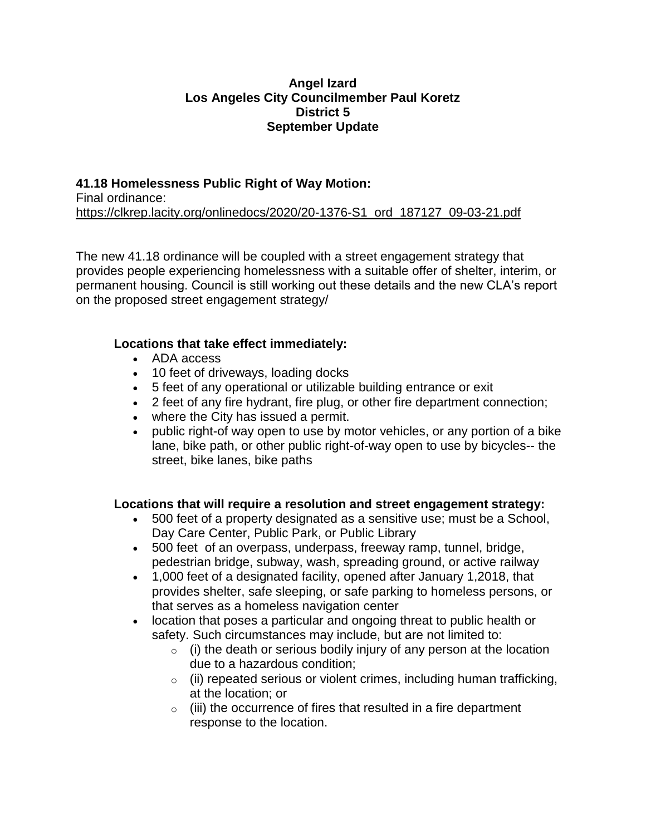#### **Angel Izard Los Angeles City Councilmember Paul Koretz District 5 September Update**

# **41.18 Homelessness Public Right of Way Motion:**

Final ordinance: [https://clkrep.lacity.org/onlinedocs/2020/20-1376-S1\\_ord\\_187127\\_09-03-21.pdf](https://clkrep.lacity.org/onlinedocs/2020/20-1376-S1_ord_187127_09-03-21.pdf)

The new 41.18 ordinance will be coupled with a street engagement strategy that provides people experiencing homelessness with a suitable offer of shelter, interim, or permanent housing. Council is still working out these details and the new CLA's report on the proposed street engagement strategy/

### **Locations that take effect immediately:**

- ADA access
- 10 feet of driveways, loading docks
- 5 feet of any operational or utilizable building entrance or exit
- 2 feet of any fire hydrant, fire plug, or other fire department connection;
- where the City has issued a permit.
- public right-of way open to use by motor vehicles, or any portion of a bike lane, bike path, or other public right-of-way open to use by bicycles-- the street, bike lanes, bike paths

# **Locations that will require a resolution and street engagement strategy:**

- 500 feet of a property designated as a sensitive use; must be a School, Day Care Center, Public Park, or Public Library
- 500 feet of an overpass, underpass, freeway ramp, tunnel, bridge, pedestrian bridge, subway, wash, spreading ground, or active railway
- 1,000 feet of a designated facility, opened after January 1,2018, that provides shelter, safe sleeping, or safe parking to homeless persons, or that serves as a homeless navigation center
- location that poses a particular and ongoing threat to public health or safety. Such circumstances may include, but are not limited to:
	- $\circ$  (i) the death or serious bodily injury of any person at the location due to a hazardous condition;
	- $\circ$  (ii) repeated serious or violent crimes, including human trafficking, at the location; or
	- $\circ$  (iii) the occurrence of fires that resulted in a fire department response to the location.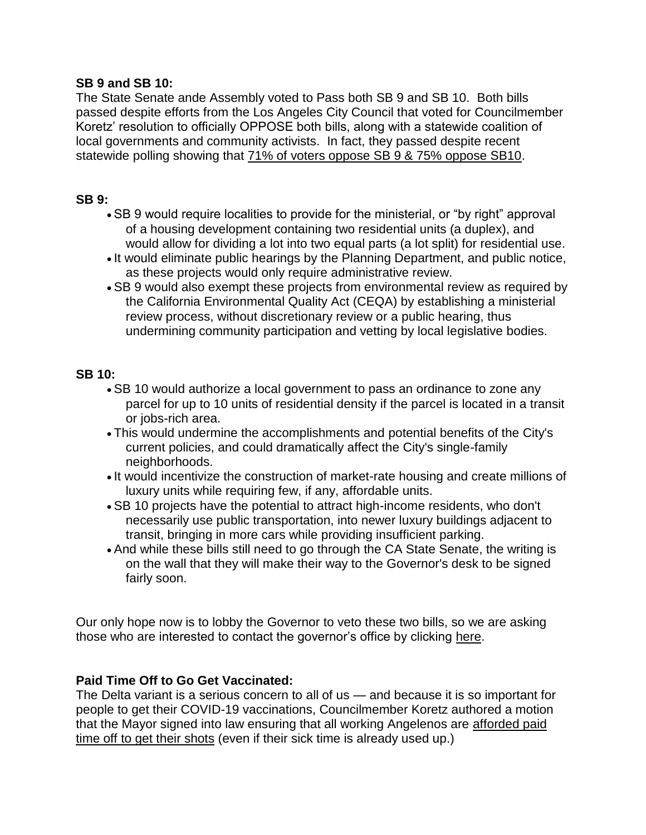#### **SB 9 and SB 10:**

The State Senate ande Assembly voted to Pass both SB 9 and SB 10. Both bills passed despite efforts from the Los Angeles City Council that voted for Councilmember Koretz' resolution to officially OPPOSE both bills, along with a statewide coalition of local governments and community activists. In fact, they passed despite recent statewide polling showing that [71% of voters oppose SB 9 & 75% oppose SB10.](http://simplesend.com/simple/t.asp?S=457&ID=101508&NL=7309&N=123324&SI=7319336&URL=https://www.aidshealth.org/wp-content/uploads/2021/08/DBR-0721-CA-Housing-Results-V1.pdf)

### **SB 9:**

- SB 9 would require localities to provide for the ministerial, or "by right" approval of a housing development containing two residential units (a duplex), and would allow for dividing a lot into two equal parts (a lot split) for residential use.
- It would eliminate public hearings by the Planning Department, and public notice, as these projects would only require administrative review.
- SB 9 would also exempt these projects from environmental review as required by the California Environmental Quality Act (CEQA) by establishing a ministerial review process, without discretionary review or a public hearing, thus undermining community participation and vetting by local legislative bodies.

### **SB 10:**

- SB 10 would authorize a local government to pass an ordinance to zone any parcel for up to 10 units of residential density if the parcel is located in a transit or jobs-rich area.
- This would undermine the accomplishments and potential benefits of the City's current policies, and could dramatically affect the City's single-family neighborhoods.
- It would incentivize the construction of market-rate housing and create millions of luxury units while requiring few, if any, affordable units.
- SB 10 projects have the potential to attract high-income residents, who don't necessarily use public transportation, into newer luxury buildings adjacent to transit, bringing in more cars while providing insufficient parking.
- And while these bills still need to go through the CA State Senate, the writing is on the wall that they will make their way to the Governor's desk to be signed fairly soon.

Our only hope now is to lobby the Governor to veto these two bills, so we are asking those who are interested to contact the governor's office by clicking [here.](http://simplesend.com/simple/t.asp?S=457&ID=101508&NL=7309&N=123324&SI=7319336&URL=https://govapps.gov.ca.gov/gov40mail/)

# **Paid Time Off to Go Get Vaccinated:**

The Delta variant is a serious concern to all of us — and because it is so important for people to get their COVID-19 vaccinations, Councilmember Koretz authored a motion that the Mayor signed into law ensuring that all working Angelenos are [afforded paid](http://simplesend.com/simple/t.asp?S=457&ID=101508&NL=7309&N=123324&SI=7319336&URL=https://www.lamayor.org/sites/g/files/wph1781/files/page/file/20210624%20COVID-19%20Vaccine%20Paid%20Sick%20Leave%20Public%20Order%20%281%29.pdf)  time off [to get their shots](http://simplesend.com/simple/t.asp?S=457&ID=101508&NL=7309&N=123324&SI=7319336&URL=https://www.lamayor.org/sites/g/files/wph1781/files/page/file/20210624%20COVID-19%20Vaccine%20Paid%20Sick%20Leave%20Public%20Order%20%281%29.pdf) (even if their sick time is already used up.)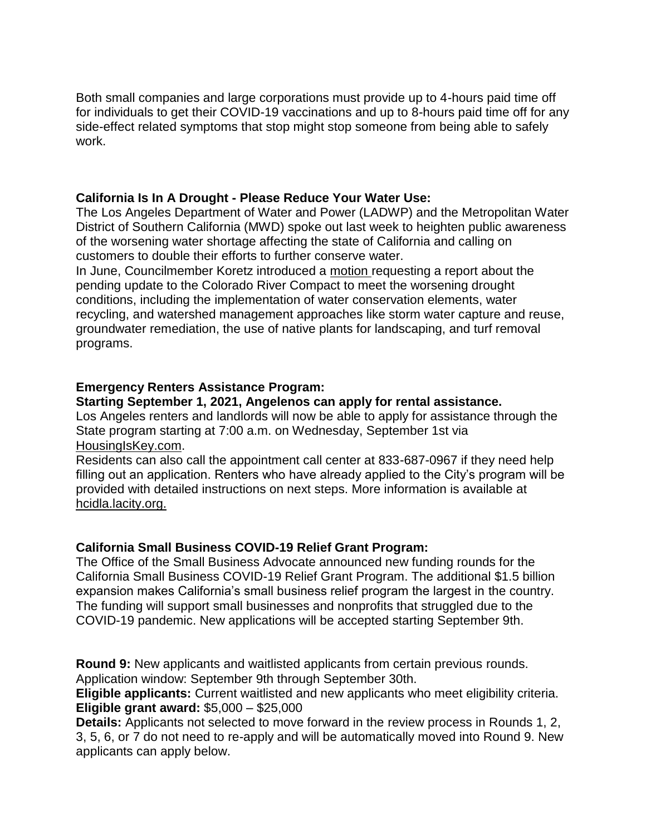Both small companies and large corporations must provide up to 4-hours paid time off for individuals to get their COVID-19 vaccinations and up to 8-hours paid time off for any side-effect related symptoms that stop might stop someone from being able to safely work.

### **California Is In A Drought - Please Reduce Your Water Use:**

The Los Angeles Department of Water and Power (LADWP) and the Metropolitan Water District of Southern California (MWD) spoke out last week to heighten public awareness of the worsening water shortage affecting the state of California and calling on customers to double their efforts to further conserve water.

In June, Councilmember Koretz introduced a [motion](http://simplesend.com/simple/t.asp?S=457&ID=101508&NL=7309&N=123324&SI=7319336&URL=https://www.councilmemberpaulkoretz.com/sites/g/files/wph1761/files/2021-06/21-06-30%20Koretz%20Press%20Release%20-%20Drought%20Report%20Request.pdf) requesting a report about the pending update to the Colorado River Compact to meet the worsening drought conditions, including the implementation of water conservation elements, water recycling, and watershed management approaches like storm water capture and reuse, groundwater remediation, the use of native plants for landscaping, and turf removal programs.

### **Emergency Renters Assistance Program:**

### **Starting September 1, 2021, Angelenos can apply for rental assistance.**

Los Angeles renters and landlords will now be able to apply for assistance through the State program starting at 7:00 a.m. on Wednesday, September 1st via [HousingIsKey.com.](http://simplesend.com/simple/t.asp?S=457&ID=101508&NL=7309&N=123324&SI=7319336&URL=https://housingiskey.com/)

Residents can also call the appointment call center at 833-687-0967 if they need help filling out an application. Renters who have already applied to the City's program will be provided with detailed instructions on next steps. More information is available at [hcidla.lacity.org.](http://simplesend.com/simple/t.asp?S=457&ID=101508&NL=7309&N=123324&SI=7319336&URL=http://hcidla.lacity.org/)

# **California Small Business COVID-19 Relief Grant Program:**

The Office of the Small Business Advocate announced new funding rounds for the California Small Business COVID-19 Relief Grant Program. The additional \$1.5 billion expansion makes California's small business relief program the largest in the country. The funding will support small businesses and nonprofits that struggled due to the COVID-19 pandemic. New applications will be accepted starting September 9th.

**Round 9:** New applicants and waitlisted applicants from certain previous rounds. Application window: September 9th through September 30th.

**Eligible applicants:** Current waitlisted and new applicants who meet eligibility criteria. **Eligible grant award:** \$5,000 – \$25,000

**Details:** Applicants not selected to move forward in the review process in Rounds 1, 2, 3, 5, 6, or 7 do not need to re-apply and will be automatically moved into Round 9. New applicants can apply below.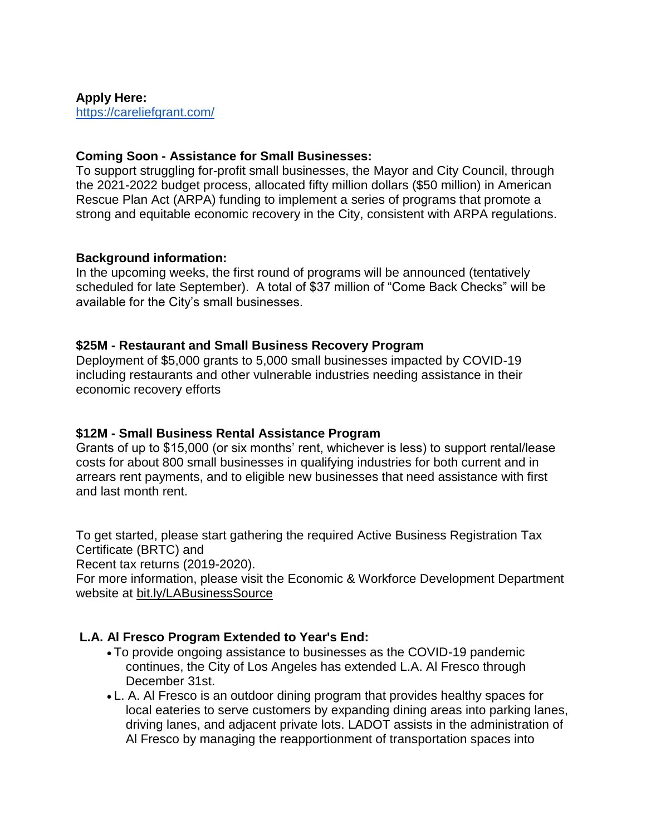**Apply Here:** <https://careliefgrant.com/>

### **Coming Soon - Assistance for Small Businesses:**

To support struggling for-profit small businesses, the Mayor and City Council, through the 2021-2022 budget process, allocated fifty million dollars (\$50 million) in American Rescue Plan Act (ARPA) funding to implement a series of programs that promote a strong and equitable economic recovery in the City, consistent with ARPA regulations.

### **Background information:**

In the upcoming weeks, the first round of programs will be announced (tentatively scheduled for late September). A total of \$37 million of "Come Back Checks" will be available for the City's small businesses.

### **\$25M - Restaurant and Small Business Recovery Program**

Deployment of \$5,000 grants to 5,000 small businesses impacted by COVID-19 including restaurants and other vulnerable industries needing assistance in their economic recovery efforts

# **\$12M - Small Business Rental Assistance Program**

Grants of up to \$15,000 (or six months' rent, whichever is less) to support rental/lease costs for about 800 small businesses in qualifying industries for both current and in arrears rent payments, and to eligible new businesses that need assistance with first and last month rent.

To get started, please start gathering the required Active Business Registration Tax Certificate (BRTC) and

Recent tax returns (2019-2020).

For more information, please visit the Economic & Workforce Development Department website at [bit.ly/LABusinessSource](http://simplesend.com/simple/t.asp?S=457&ID=101508&NL=7309&N=123324&SI=7319336&URL=http://bit.ly/LABusinessSource)

# **L.A. Al Fresco Program Extended to Year's End:**

- To provide ongoing assistance to businesses as the COVID-19 pandemic continues, the City of Los Angeles has extended L.A. Al Fresco through December 31st.
- L. A. Al Fresco is an outdoor dining program that provides healthy spaces for local eateries to serve customers by expanding dining areas into parking lanes, driving lanes, and adjacent private lots. LADOT assists in the administration of Al Fresco by managing the reapportionment of transportation spaces into